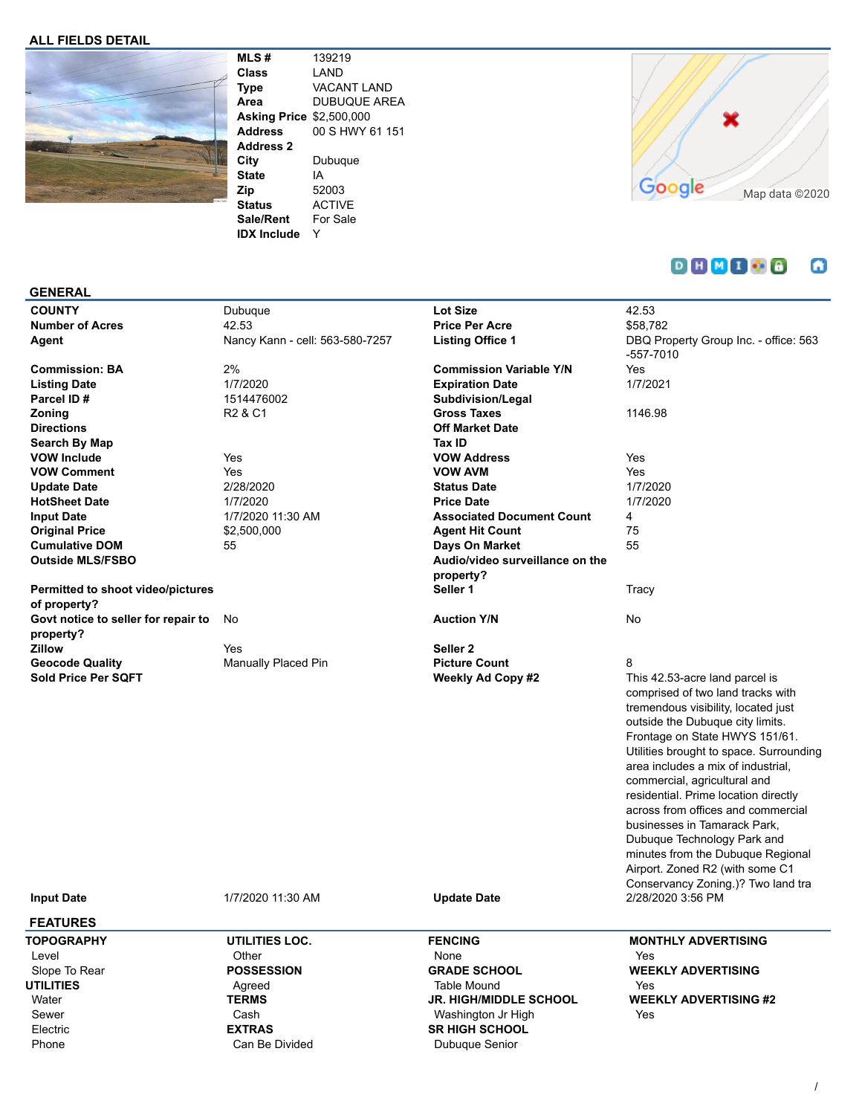#### **ALL FIELDS DETAIL**



**MLS #** 139219 **Class** LAND **Type** VACANT LAND **Area** DUBUQUE AREA **Asking Price** \$2,500,000<br>**Address** 00 S HWY 6 **Address** 00 S HWY 61 151 **Address 2 City** Dubuque **State** IA **Zip** 52003 **Status** ACTIVE **Sale/Rent** For Sale **IDX Include** Y



#### **DHMIO8** ۵

## **GENERAL**

| <b>COUNTY</b>                                    | Dubuque                                      | <b>Lot Size</b>                                | 42.53                                                                                                                                                                                                                                                                                                                                                                                                                                                                                                                                                                             |
|--------------------------------------------------|----------------------------------------------|------------------------------------------------|-----------------------------------------------------------------------------------------------------------------------------------------------------------------------------------------------------------------------------------------------------------------------------------------------------------------------------------------------------------------------------------------------------------------------------------------------------------------------------------------------------------------------------------------------------------------------------------|
| <b>Number of Acres</b>                           | 42.53                                        | <b>Price Per Acre</b>                          | \$58,782                                                                                                                                                                                                                                                                                                                                                                                                                                                                                                                                                                          |
| Agent                                            | Nancy Kann - cell: 563-580-7257              | <b>Listing Office 1</b>                        | DBQ Property Group Inc. - office: 563<br>-557-7010                                                                                                                                                                                                                                                                                                                                                                                                                                                                                                                                |
| <b>Commission: BA</b>                            | 2%                                           | <b>Commission Variable Y/N</b>                 | <b>Yes</b>                                                                                                                                                                                                                                                                                                                                                                                                                                                                                                                                                                        |
| <b>Listing Date</b>                              | 1/7/2020                                     | <b>Expiration Date</b>                         | 1/7/2021                                                                                                                                                                                                                                                                                                                                                                                                                                                                                                                                                                          |
| Parcel ID#                                       | 1514476002                                   | Subdivision/Legal                              |                                                                                                                                                                                                                                                                                                                                                                                                                                                                                                                                                                                   |
| Zoning                                           | R <sub>2</sub> & C <sub>1</sub>              | <b>Gross Taxes</b>                             | 1146.98                                                                                                                                                                                                                                                                                                                                                                                                                                                                                                                                                                           |
| <b>Directions</b>                                |                                              | <b>Off Market Date</b>                         |                                                                                                                                                                                                                                                                                                                                                                                                                                                                                                                                                                                   |
| Search By Map                                    |                                              | Tax ID                                         |                                                                                                                                                                                                                                                                                                                                                                                                                                                                                                                                                                                   |
| <b>VOW Include</b>                               | Yes                                          | <b>VOW Address</b>                             | Yes                                                                                                                                                                                                                                                                                                                                                                                                                                                                                                                                                                               |
| <b>VOW Comment</b>                               | Yes                                          | <b>VOW AVM</b>                                 | Yes                                                                                                                                                                                                                                                                                                                                                                                                                                                                                                                                                                               |
| <b>Update Date</b>                               | 2/28/2020                                    | <b>Status Date</b>                             | 1/7/2020                                                                                                                                                                                                                                                                                                                                                                                                                                                                                                                                                                          |
| <b>HotSheet Date</b>                             | 1/7/2020                                     | <b>Price Date</b>                              | 1/7/2020                                                                                                                                                                                                                                                                                                                                                                                                                                                                                                                                                                          |
| <b>Input Date</b>                                | 1/7/2020 11:30 AM                            | <b>Associated Document Count</b>               | 4                                                                                                                                                                                                                                                                                                                                                                                                                                                                                                                                                                                 |
| <b>Original Price</b>                            | \$2,500,000                                  | <b>Agent Hit Count</b>                         | 75                                                                                                                                                                                                                                                                                                                                                                                                                                                                                                                                                                                |
| <b>Cumulative DOM</b>                            | 55                                           | Days On Market                                 | 55                                                                                                                                                                                                                                                                                                                                                                                                                                                                                                                                                                                |
| <b>Outside MLS/FSBO</b>                          |                                              | Audio/video surveillance on the                |                                                                                                                                                                                                                                                                                                                                                                                                                                                                                                                                                                                   |
|                                                  |                                              | property?                                      |                                                                                                                                                                                                                                                                                                                                                                                                                                                                                                                                                                                   |
| Permitted to shoot video/pictures                |                                              | Seller 1                                       | Tracy                                                                                                                                                                                                                                                                                                                                                                                                                                                                                                                                                                             |
| of property?                                     |                                              |                                                |                                                                                                                                                                                                                                                                                                                                                                                                                                                                                                                                                                                   |
| Govt notice to seller for repair to<br>property? | No                                           | <b>Auction Y/N</b>                             | No                                                                                                                                                                                                                                                                                                                                                                                                                                                                                                                                                                                |
| Zillow                                           | Yes                                          | Seller <sub>2</sub>                            |                                                                                                                                                                                                                                                                                                                                                                                                                                                                                                                                                                                   |
| <b>Geocode Quality</b>                           | Manually Placed Pin                          | <b>Picture Count</b>                           | 8                                                                                                                                                                                                                                                                                                                                                                                                                                                                                                                                                                                 |
| Sold Price Per SQFT<br><b>Input Date</b>         | 1/7/2020 11:30 AM                            | <b>Weekly Ad Copy #2</b><br><b>Update Date</b> | This 42.53-acre land parcel is<br>comprised of two land tracks with<br>tremendous visibility, located just<br>outside the Dubuque city limits.<br>Frontage on State HWYS 151/61.<br>Utilities brought to space. Surrounding<br>area includes a mix of industrial,<br>commercial, agricultural and<br>residential. Prime location directly<br>across from offices and commercial<br>businesses in Tamarack Park,<br>Dubuque Technology Park and<br>minutes from the Dubuque Regional<br>Airport. Zoned R2 (with some C1<br>Conservancy Zoning.)? Two land tra<br>2/28/2020 3:56 PM |
| <b>FEATURES</b>                                  |                                              |                                                |                                                                                                                                                                                                                                                                                                                                                                                                                                                                                                                                                                                   |
| <b>TOPOGRAPHY</b><br>Level<br>Slope To Rear      | UTILITIES LOC.<br>Other<br><b>POSSESSION</b> | <b>FENCING</b><br>None<br><b>GRADE SCHOOL</b>  | <b>MONTHLY ADVERTISING</b><br>Yes<br><b>WEEKLY ADVERTISING</b>                                                                                                                                                                                                                                                                                                                                                                                                                                                                                                                    |

**UTILITIES** Water Sewer Electric Phone

# Agreed **TERMS** Cash **EXTRAS** Can Be Divided

## Table Mound **JR. HIGH/MIDDLE SCHOOL** Washington Jr High **SR HIGH SCHOOL** Dubuque Senior

# Yes **WEEKLY ADVERTISING #2** Yes